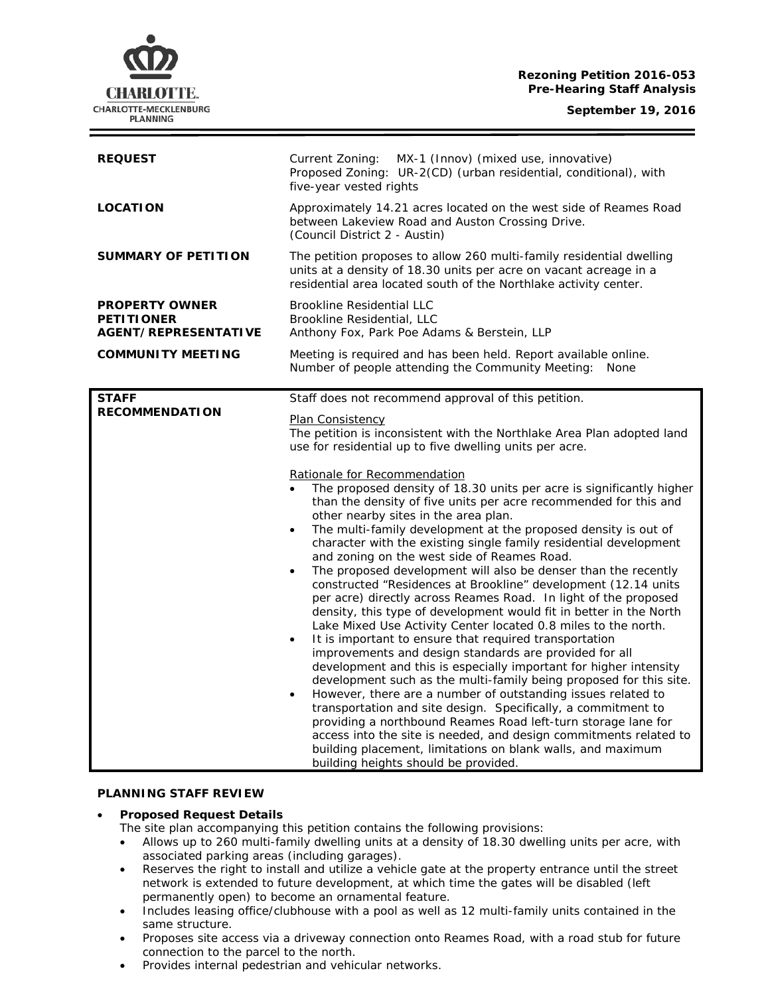#### **Rezoning Petition 2016-053 Pre-Hearing Staff Analysis**

**September 19, 2016**



| <b>REQUEST</b>                                                            | Current Zoning: MX-1 (Innov) (mixed use, innovative)<br>Proposed Zoning: UR-2(CD) (urban residential, conditional), with<br>five-year vested rights                                                                                                                                                                                                                                                                                                                                                                                                                                                                                                                                                                                                                                                                                                                                                                                                                                                                                                                                                                                                                                                                                                                                                                                                                                                                                                                                                                                                                                                                             |
|---------------------------------------------------------------------------|---------------------------------------------------------------------------------------------------------------------------------------------------------------------------------------------------------------------------------------------------------------------------------------------------------------------------------------------------------------------------------------------------------------------------------------------------------------------------------------------------------------------------------------------------------------------------------------------------------------------------------------------------------------------------------------------------------------------------------------------------------------------------------------------------------------------------------------------------------------------------------------------------------------------------------------------------------------------------------------------------------------------------------------------------------------------------------------------------------------------------------------------------------------------------------------------------------------------------------------------------------------------------------------------------------------------------------------------------------------------------------------------------------------------------------------------------------------------------------------------------------------------------------------------------------------------------------------------------------------------------------|
| <b>LOCATION</b>                                                           | Approximately 14.21 acres located on the west side of Reames Road<br>between Lakeview Road and Auston Crossing Drive.<br>(Council District 2 - Austin)                                                                                                                                                                                                                                                                                                                                                                                                                                                                                                                                                                                                                                                                                                                                                                                                                                                                                                                                                                                                                                                                                                                                                                                                                                                                                                                                                                                                                                                                          |
| <b>SUMMARY OF PETITION</b>                                                | The petition proposes to allow 260 multi-family residential dwelling<br>units at a density of 18.30 units per acre on vacant acreage in a<br>residential area located south of the Northlake activity center.                                                                                                                                                                                                                                                                                                                                                                                                                                                                                                                                                                                                                                                                                                                                                                                                                                                                                                                                                                                                                                                                                                                                                                                                                                                                                                                                                                                                                   |
| <b>PROPERTY OWNER</b><br><b>PETITIONER</b><br><b>AGENT/REPRESENTATIVE</b> | <b>Brookline Residential LLC</b><br>Brookline Residential, LLC<br>Anthony Fox, Park Poe Adams & Berstein, LLP                                                                                                                                                                                                                                                                                                                                                                                                                                                                                                                                                                                                                                                                                                                                                                                                                                                                                                                                                                                                                                                                                                                                                                                                                                                                                                                                                                                                                                                                                                                   |
| <b>COMMUNITY MEETING</b>                                                  | Meeting is required and has been held. Report available online.<br>Number of people attending the Community Meeting:<br>None                                                                                                                                                                                                                                                                                                                                                                                                                                                                                                                                                                                                                                                                                                                                                                                                                                                                                                                                                                                                                                                                                                                                                                                                                                                                                                                                                                                                                                                                                                    |
| <b>STAFF</b><br><b>RECOMMENDATION</b>                                     | Staff does not recommend approval of this petition.<br>Plan Consistency<br>The petition is inconsistent with the Northlake Area Plan adopted land<br>use for residential up to five dwelling units per acre.<br>Rationale for Recommendation<br>The proposed density of 18.30 units per acre is significantly higher<br>than the density of five units per acre recommended for this and<br>other nearby sites in the area plan.<br>The multi-family development at the proposed density is out of<br>character with the existing single family residential development<br>and zoning on the west side of Reames Road.<br>The proposed development will also be denser than the recently<br>constructed "Residences at Brookline" development (12.14 units<br>per acre) directly across Reames Road. In light of the proposed<br>density, this type of development would fit in better in the North<br>Lake Mixed Use Activity Center located 0.8 miles to the north.<br>It is important to ensure that required transportation<br>$\bullet$<br>improvements and design standards are provided for all<br>development and this is especially important for higher intensity<br>development such as the multi-family being proposed for this site.<br>However, there are a number of outstanding issues related to<br>transportation and site design. Specifically, a commitment to<br>providing a northbound Reames Road left-turn storage lane for<br>access into the site is needed, and design commitments related to<br>building placement, limitations on blank walls, and maximum<br>building heights should be provided. |

### **PLANNING STAFF REVIEW**

## • **Proposed Request Details**

The site plan accompanying this petition contains the following provisions:

- Allows up to 260 multi-family dwelling units at a density of 18.30 dwelling units per acre, with associated parking areas (including garages).
- Reserves the right to install and utilize a vehicle gate at the property entrance until the street network is extended to future development, at which time the gates will be disabled (left permanently open) to become an ornamental feature.
- Includes leasing office/clubhouse with a pool as well as 12 multi-family units contained in the same structure.
- Proposes site access via a driveway connection onto Reames Road, with a road stub for future connection to the parcel to the north.
- Provides internal pedestrian and vehicular networks.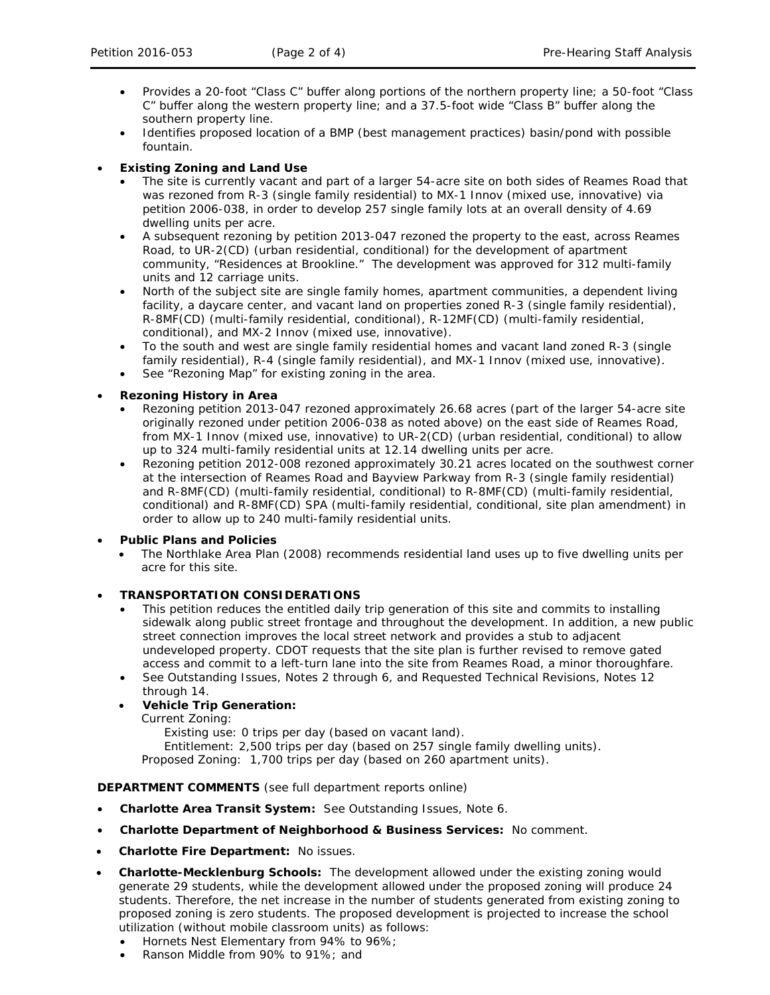- Provides a 20-foot "Class C" buffer along portions of the northern property line; a 50-foot "Class C" buffer along the western property line; and a 37.5-foot wide "Class B" buffer along the southern property line.
- Identifies proposed location of a BMP (best management practices) basin/pond with possible fountain.

## • **Existing Zoning and Land Use**

- The site is currently vacant and part of a larger 54-acre site on both sides of Reames Road that was rezoned from R-3 (single family residential) to MX-1 Innov (mixed use, innovative) via petition 2006-038, in order to develop 257 single family lots at an overall density of 4.69 dwelling units per acre.
- A subsequent rezoning by petition 2013-047 rezoned the property to the east, across Reames Road, to UR-2(CD) (urban residential, conditional) for the development of apartment community, "Residences at Brookline." The development was approved for 312 multi-family units and 12 carriage units.
- North of the subject site are single family homes, apartment communities, a dependent living facility, a daycare center, and vacant land on properties zoned R-3 (single family residential), R-8MF(CD) (multi-family residential, conditional), R-12MF(CD) (multi-family residential, conditional), and MX-2 Innov (mixed use, innovative).
- To the south and west are single family residential homes and vacant land zoned R-3 (single family residential), R-4 (single family residential), and MX-1 Innov (mixed use, innovative).
- See "Rezoning Map" for existing zoning in the area.

## • **Rezoning History in Area**

- Rezoning petition 2013-047 rezoned approximately 26.68 acres (part of the larger 54-acre site originally rezoned under petition 2006-038 as noted above) on the east side of Reames Road, from MX-1 Innov (mixed use, innovative) to UR-2(CD) (urban residential, conditional) to allow up to 324 multi-family residential units at 12.14 dwelling units per acre.
- Rezoning petition 2012-008 rezoned approximately 30.21 acres located on the southwest corner at the intersection of Reames Road and Bayview Parkway from R-3 (single family residential) and R-8MF(CD) (multi-family residential, conditional) to R-8MF(CD) (multi-family residential, conditional) and R-8MF(CD) SPA (multi-family residential, conditional, site plan amendment) in order to allow up to 240 multi-family residential units.

### • **Public Plans and Policies**

• *The Northlake Area Plan* (2008) recommends residential land uses up to five dwelling units per acre for this site.

### • **TRANSPORTATION CONSIDERATIONS**

- This petition reduces the entitled daily trip generation of this site and commits to installing sidewalk along public street frontage and throughout the development. In addition, a new public street connection improves the local street network and provides a stub to adjacent undeveloped property. CDOT requests that the site plan is further revised to remove gated access and commit to a left-turn lane into the site from Reames Road, a minor thoroughfare.
- See Outstanding Issues, Notes 2 through 6, and Requested Technical Revisions, Notes 12 through 14.

# • **Vehicle Trip Generation:**

Current Zoning:

Existing use: 0 trips per day (based on vacant land).

Entitlement: 2,500 trips per day (based on 257 single family dwelling units).

Proposed Zoning: 1,700 trips per day (based on 260 apartment units).

### **DEPARTMENT COMMENTS** (see full department reports online)

- **Charlotte Area Transit System:** See Outstanding Issues, Note 6.
- **Charlotte Department of Neighborhood & Business Services:** No comment.
- **Charlotte Fire Department:** No issues.
- **Charlotte-Mecklenburg Schools:** The development allowed under the existing zoning would generate 29 students, while the development allowed under the proposed zoning will produce 24 students. Therefore, the net increase in the number of students generated from existing zoning to proposed zoning is zero students. The proposed development is projected to increase the school utilization (without mobile classroom units) as follows:
	- Hornets Nest Elementary from 94% to 96%;
	- Ranson Middle from 90% to 91%; and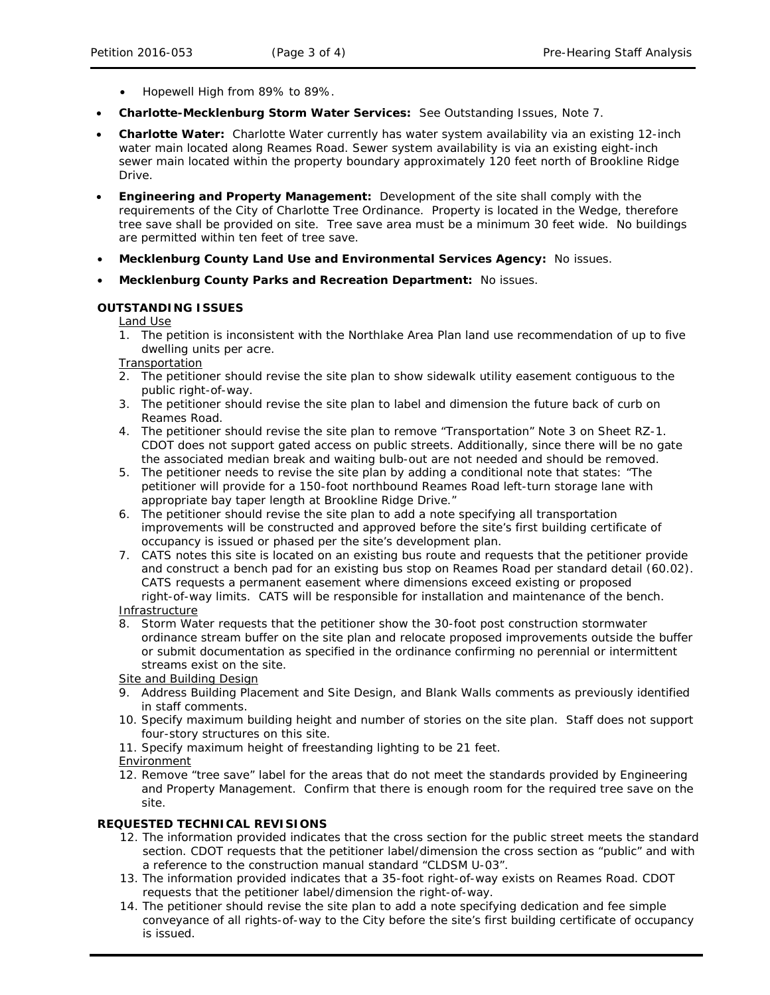- Hopewell High from 89% to 89%.
- **Charlotte-Mecklenburg Storm Water Services:** See Outstanding Issues, Note 7.
- **Charlotte Water:** Charlotte Water currently has water system availability via an existing 12-inch water main located along Reames Road. Sewer system availability is via an existing eight-inch sewer main located within the property boundary approximately 120 feet north of Brookline Ridge Drive.
- **Engineering and Property Management:** Development of the site shall comply with the requirements of the City of Charlotte Tree Ordinance. Property is located in the Wedge, therefore tree save shall be provided on site. Tree save area must be a minimum 30 feet wide. No buildings are permitted within ten feet of tree save.
- **Mecklenburg County Land Use and Environmental Services Agency:** No issues.
- **Mecklenburg County Parks and Recreation Department:** No issues.

#### **OUTSTANDING ISSUES**

Land Use

1. The petition is inconsistent with the *Northlake Area Plan* land use recommendation of up to five dwelling units per acre.

**Transportation** 

- 2. The petitioner should revise the site plan to show sidewalk utility easement contiguous to the public right-of-way.
- 3. The petitioner should revise the site plan to label and dimension the future back of curb on Reames Road.
- 4. The petitioner should revise the site plan to remove "Transportation" Note 3 on Sheet RZ-1. CDOT does not support gated access on public streets. Additionally, since there will be no gate the associated median break and waiting bulb-out are not needed and should be removed.
- 5. The petitioner needs to revise the site plan by adding a conditional note that states: "The petitioner will provide for a 150-foot northbound Reames Road left-turn storage lane with appropriate bay taper length at Brookline Ridge Drive."
- 6. The petitioner should revise the site plan to add a note specifying all transportation improvements will be constructed and approved before the site's first building certificate of occupancy is issued or phased per the site's development plan.
- 7. CATS notes this site is located on an existing bus route and requests that the petitioner provide and construct a bench pad for an existing bus stop on Reames Road per standard detail (60.02). CATS requests a permanent easement where dimensions exceed existing or proposed right-of-way limits. CATS will be responsible for installation and maintenance of the bench.

Infrastructure

8. Storm Water requests that the petitioner show the 30-foot post construction stormwater ordinance stream buffer on the site plan and relocate proposed improvements outside the buffer or submit documentation as specified in the ordinance confirming no perennial or intermittent streams exist on the site.

Site and Building Design

- 9. Address Building Placement and Site Design, and Blank Walls comments as previously identified in staff comments.
- 10. Specify maximum building height and number of stories on the site plan. Staff does not support four-story structures on this site.
- 11. Specify maximum height of freestanding lighting to be 21 feet.
- Environment
- 12. Remove "tree save" label for the areas that do not meet the standards provided by Engineering and Property Management. Confirm that there is enough room for the required tree save on the site.

## **REQUESTED TECHNICAL REVISIONS**

- 12. The information provided indicates that the cross section for the public street meets the standard section. CDOT requests that the petitioner label/dimension the cross section as "public" and with a reference to the construction manual standard "CLDSM U-03".
- 13. The information provided indicates that a 35-foot right-of-way exists on Reames Road. CDOT requests that the petitioner label/dimension the right-of-way.
- 14. The petitioner should revise the site plan to add a note specifying dedication and fee simple conveyance of all rights-of-way to the City before the site's first building certificate of occupancy is issued.